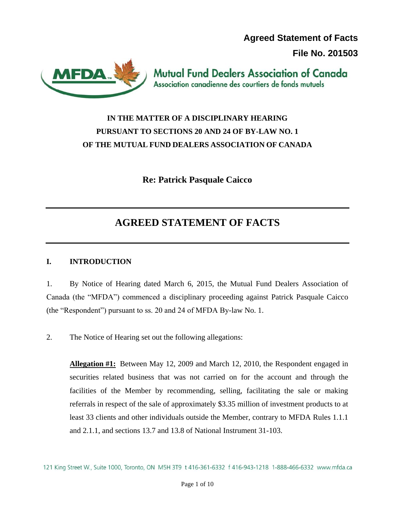**Agreed Statement of Facts**

**File No. 201503**



**Mutual Fund Dealers Association of Canada** Association canadienne des courtiers de fonds mutuels

## **IN THE MATTER OF A DISCIPLINARY HEARING PURSUANT TO SECTIONS 20 AND 24 OF BY-LAW NO. 1 OF THE MUTUAL FUND DEALERS ASSOCIATION OF CANADA**

**Re: Patrick Pasquale Caicco**

# **AGREED STATEMENT OF FACTS**

## **I. INTRODUCTION**

1. By Notice of Hearing dated March 6, 2015, the Mutual Fund Dealers Association of Canada (the "MFDA") commenced a disciplinary proceeding against Patrick Pasquale Caicco (the "Respondent") pursuant to ss. 20 and 24 of MFDA By-law No. 1.

2. The Notice of Hearing set out the following allegations:

**Allegation #1:** Between May 12, 2009 and March 12, 2010, the Respondent engaged in securities related business that was not carried on for the account and through the facilities of the Member by recommending, selling, facilitating the sale or making referrals in respect of the sale of approximately \$3.35 million of investment products to at least 33 clients and other individuals outside the Member, contrary to MFDA Rules 1.1.1 and 2.1.1, and sections 13.7 and 13.8 of National Instrument 31-103.

121 King Street W., Suite 1000, Toronto, ON M5H 3T9 t 416-361-6332 f 416-943-1218 1-888-466-6332 www.mfda.ca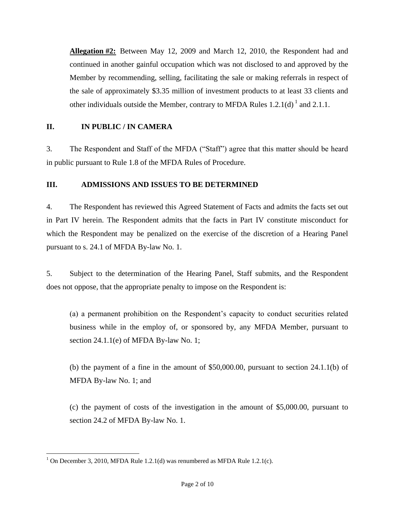**Allegation #2:** Between May 12, 2009 and March 12, 2010, the Respondent had and continued in another gainful occupation which was not disclosed to and approved by the Member by recommending, selling, facilitating the sale or making referrals in respect of the sale of approximately \$3.35 million of investment products to at least 33 clients and other individuals outside the Member, contrary to MFDA Rules  $1.2.1(d)^{1}$  and  $2.1.1$ .

## **II. IN PUBLIC / IN CAMERA**

3. The Respondent and Staff of the MFDA ("Staff") agree that this matter should be heard in public pursuant to Rule 1.8 of the MFDA Rules of Procedure.

## **III. ADMISSIONS AND ISSUES TO BE DETERMINED**

4. The Respondent has reviewed this Agreed Statement of Facts and admits the facts set out in Part IV herein. The Respondent admits that the facts in Part IV constitute misconduct for which the Respondent may be penalized on the exercise of the discretion of a Hearing Panel pursuant to s. 24.1 of MFDA By-law No. 1.

5. Subject to the determination of the Hearing Panel, Staff submits, and the Respondent does not oppose, that the appropriate penalty to impose on the Respondent is:

(a) a permanent prohibition on the Respondent's capacity to conduct securities related business while in the employ of, or sponsored by, any MFDA Member, pursuant to section 24.1.1(e) of MFDA By-law No. 1;

(b) the payment of a fine in the amount of \$50,000.00, pursuant to section 24.1.1(b) of MFDA By-law No. 1; and

(c) the payment of costs of the investigation in the amount of \$5,000.00, pursuant to section 24.2 of MFDA By-law No. 1.

 $\overline{a}$ <sup>1</sup> On December 3, 2010, MFDA Rule 1.2.1(d) was renumbered as MFDA Rule 1.2.1(c).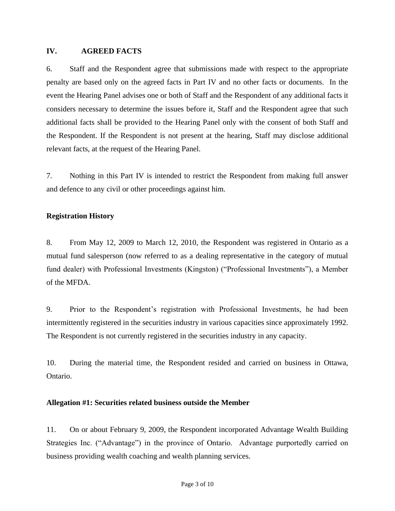#### **IV. AGREED FACTS**

6. Staff and the Respondent agree that submissions made with respect to the appropriate penalty are based only on the agreed facts in Part IV and no other facts or documents. In the event the Hearing Panel advises one or both of Staff and the Respondent of any additional facts it considers necessary to determine the issues before it, Staff and the Respondent agree that such additional facts shall be provided to the Hearing Panel only with the consent of both Staff and the Respondent. If the Respondent is not present at the hearing, Staff may disclose additional relevant facts, at the request of the Hearing Panel.

7. Nothing in this Part IV is intended to restrict the Respondent from making full answer and defence to any civil or other proceedings against him.

#### **Registration History**

8. From May 12, 2009 to March 12, 2010, the Respondent was registered in Ontario as a mutual fund salesperson (now referred to as a dealing representative in the category of mutual fund dealer) with Professional Investments (Kingston) ("Professional Investments"), a Member of the MFDA.

9. Prior to the Respondent's registration with Professional Investments, he had been intermittently registered in the securities industry in various capacities since approximately 1992. The Respondent is not currently registered in the securities industry in any capacity.

10. During the material time, the Respondent resided and carried on business in Ottawa, Ontario.

#### **Allegation #1: Securities related business outside the Member**

11. On or about February 9, 2009, the Respondent incorporated Advantage Wealth Building Strategies Inc. ("Advantage") in the province of Ontario. Advantage purportedly carried on business providing wealth coaching and wealth planning services.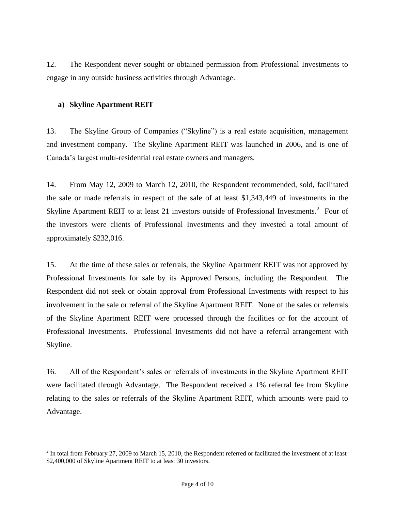12. The Respondent never sought or obtained permission from Professional Investments to engage in any outside business activities through Advantage.

## **a) Skyline Apartment REIT**

 $\overline{a}$ 

13. The Skyline Group of Companies ("Skyline") is a real estate acquisition, management and investment company. The Skyline Apartment REIT was launched in 2006, and is one of Canada's largest multi-residential real estate owners and managers.

14. From May 12, 2009 to March 12, 2010, the Respondent recommended, sold, facilitated the sale or made referrals in respect of the sale of at least \$1,343,449 of investments in the Skyline Apartment REIT to at least 21 investors outside of Professional Investments.<sup>2</sup> Four of the investors were clients of Professional Investments and they invested a total amount of approximately \$232,016.

15. At the time of these sales or referrals, the Skyline Apartment REIT was not approved by Professional Investments for sale by its Approved Persons, including the Respondent. The Respondent did not seek or obtain approval from Professional Investments with respect to his involvement in the sale or referral of the Skyline Apartment REIT. None of the sales or referrals of the Skyline Apartment REIT were processed through the facilities or for the account of Professional Investments. Professional Investments did not have a referral arrangement with Skyline.

16. All of the Respondent's sales or referrals of investments in the Skyline Apartment REIT were facilitated through Advantage. The Respondent received a 1% referral fee from Skyline relating to the sales or referrals of the Skyline Apartment REIT, which amounts were paid to Advantage.

 $2^2$  In total from February 27, 2009 to March 15, 2010, the Respondent referred or facilitated the investment of at least \$2,400,000 of Skyline Apartment REIT to at least 30 investors.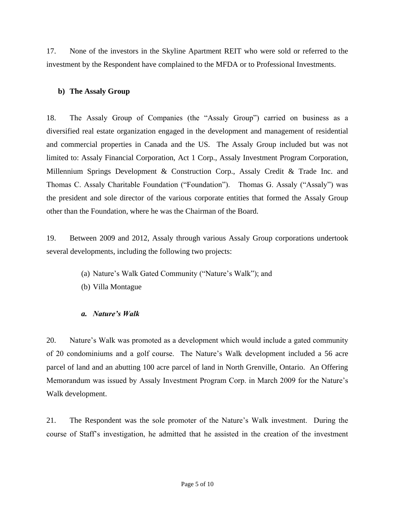17. None of the investors in the Skyline Apartment REIT who were sold or referred to the investment by the Respondent have complained to the MFDA or to Professional Investments.

## **b) The Assaly Group**

18. The Assaly Group of Companies (the "Assaly Group") carried on business as a diversified real estate organization engaged in the development and management of residential and commercial properties in Canada and the US. The Assaly Group included but was not limited to: Assaly Financial Corporation, Act 1 Corp., Assaly Investment Program Corporation, Millennium Springs Development & Construction Corp., Assaly Credit & Trade Inc. and Thomas C. Assaly Charitable Foundation ("Foundation"). Thomas G. Assaly ("Assaly") was the president and sole director of the various corporate entities that formed the Assaly Group other than the Foundation, where he was the Chairman of the Board.

19. Between 2009 and 2012, Assaly through various Assaly Group corporations undertook several developments, including the following two projects:

- (a) Nature's Walk Gated Community ("Nature's Walk"); and
- (b) Villa Montague

## *a. Nature's Walk*

20. Nature's Walk was promoted as a development which would include a gated community of 20 condominiums and a golf course. The Nature's Walk development included a 56 acre parcel of land and an abutting 100 acre parcel of land in North Grenville, Ontario. An Offering Memorandum was issued by Assaly Investment Program Corp. in March 2009 for the Nature's Walk development.

21. The Respondent was the sole promoter of the Nature's Walk investment. During the course of Staff's investigation, he admitted that he assisted in the creation of the investment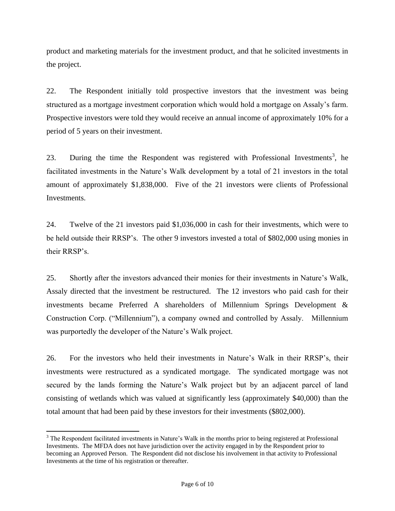product and marketing materials for the investment product, and that he solicited investments in the project.

22. The Respondent initially told prospective investors that the investment was being structured as a mortgage investment corporation which would hold a mortgage on Assaly's farm. Prospective investors were told they would receive an annual income of approximately 10% for a period of 5 years on their investment.

23. During the time the Respondent was registered with Professional Investments<sup>3</sup>, he facilitated investments in the Nature's Walk development by a total of 21 investors in the total amount of approximately \$1,838,000. Five of the 21 investors were clients of Professional Investments.

24. Twelve of the 21 investors paid \$1,036,000 in cash for their investments, which were to be held outside their RRSP's. The other 9 investors invested a total of \$802,000 using monies in their RRSP's.

25. Shortly after the investors advanced their monies for their investments in Nature's Walk, Assaly directed that the investment be restructured. The 12 investors who paid cash for their investments became Preferred A shareholders of Millennium Springs Development & Construction Corp. ("Millennium"), a company owned and controlled by Assaly. Millennium was purportedly the developer of the Nature's Walk project.

26. For the investors who held their investments in Nature's Walk in their RRSP's, their investments were restructured as a syndicated mortgage. The syndicated mortgage was not secured by the lands forming the Nature's Walk project but by an adjacent parcel of land consisting of wetlands which was valued at significantly less (approximately \$40,000) than the total amount that had been paid by these investors for their investments (\$802,000).

 $\overline{a}$ 

<sup>&</sup>lt;sup>3</sup> The Respondent facilitated investments in Nature's Walk in the months prior to being registered at Professional Investments. The MFDA does not have jurisdiction over the activity engaged in by the Respondent prior to becoming an Approved Person. The Respondent did not disclose his involvement in that activity to Professional Investments at the time of his registration or thereafter.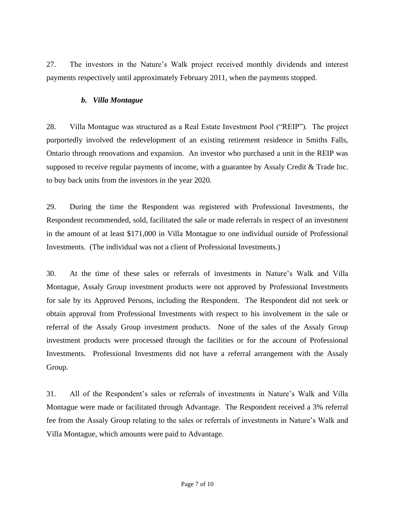27. The investors in the Nature's Walk project received monthly dividends and interest payments respectively until approximately February 2011, when the payments stopped.

### *b. Villa Montague*

28. Villa Montague was structured as a Real Estate Investment Pool ("REIP"). The project purportedly involved the redevelopment of an existing retirement residence in Smiths Falls, Ontario through renovations and expansion. An investor who purchased a unit in the REIP was supposed to receive regular payments of income, with a guarantee by Assaly Credit & Trade Inc. to buy back units from the investors in the year 2020.

29. During the time the Respondent was registered with Professional Investments, the Respondent recommended, sold, facilitated the sale or made referrals in respect of an investment in the amount of at least \$171,000 in Villa Montague to one individual outside of Professional Investments. (The individual was not a client of Professional Investments.)

30. At the time of these sales or referrals of investments in Nature's Walk and Villa Montague, Assaly Group investment products were not approved by Professional Investments for sale by its Approved Persons, including the Respondent. The Respondent did not seek or obtain approval from Professional Investments with respect to his involvement in the sale or referral of the Assaly Group investment products. None of the sales of the Assaly Group investment products were processed through the facilities or for the account of Professional Investments. Professional Investments did not have a referral arrangement with the Assaly Group.

31. All of the Respondent's sales or referrals of investments in Nature's Walk and Villa Montague were made or facilitated through Advantage. The Respondent received a 3% referral fee from the Assaly Group relating to the sales or referrals of investments in Nature's Walk and Villa Montague, which amounts were paid to Advantage.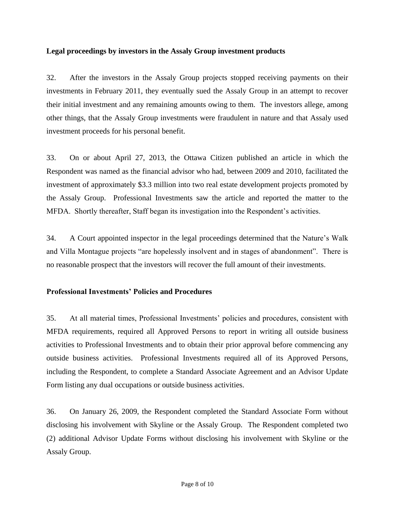#### **Legal proceedings by investors in the Assaly Group investment products**

32. After the investors in the Assaly Group projects stopped receiving payments on their investments in February 2011, they eventually sued the Assaly Group in an attempt to recover their initial investment and any remaining amounts owing to them. The investors allege, among other things, that the Assaly Group investments were fraudulent in nature and that Assaly used investment proceeds for his personal benefit.

33. On or about April 27, 2013, the Ottawa Citizen published an article in which the Respondent was named as the financial advisor who had, between 2009 and 2010, facilitated the investment of approximately \$3.3 million into two real estate development projects promoted by the Assaly Group. Professional Investments saw the article and reported the matter to the MFDA. Shortly thereafter, Staff began its investigation into the Respondent's activities.

34. A Court appointed inspector in the legal proceedings determined that the Nature's Walk and Villa Montague projects "are hopelessly insolvent and in stages of abandonment". There is no reasonable prospect that the investors will recover the full amount of their investments.

## **Professional Investments' Policies and Procedures**

35. At all material times, Professional Investments' policies and procedures, consistent with MFDA requirements, required all Approved Persons to report in writing all outside business activities to Professional Investments and to obtain their prior approval before commencing any outside business activities. Professional Investments required all of its Approved Persons, including the Respondent, to complete a Standard Associate Agreement and an Advisor Update Form listing any dual occupations or outside business activities.

36. On January 26, 2009, the Respondent completed the Standard Associate Form without disclosing his involvement with Skyline or the Assaly Group. The Respondent completed two (2) additional Advisor Update Forms without disclosing his involvement with Skyline or the Assaly Group.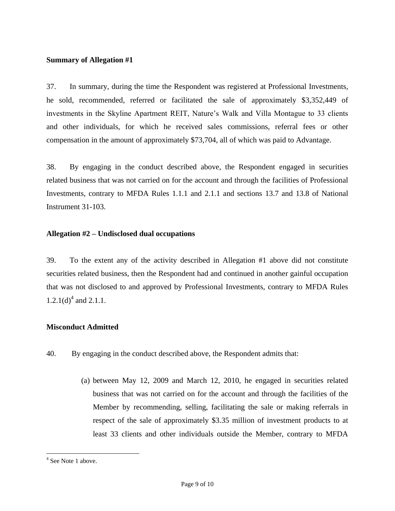#### **Summary of Allegation #1**

37. In summary, during the time the Respondent was registered at Professional Investments, he sold, recommended, referred or facilitated the sale of approximately \$3,352,449 of investments in the Skyline Apartment REIT, Nature's Walk and Villa Montague to 33 clients and other individuals, for which he received sales commissions, referral fees or other compensation in the amount of approximately \$73,704, all of which was paid to Advantage.

38. By engaging in the conduct described above, the Respondent engaged in securities related business that was not carried on for the account and through the facilities of Professional Investments, contrary to MFDA Rules 1.1.1 and 2.1.1 and sections 13.7 and 13.8 of National Instrument 31-103.

#### **Allegation #2 – Undisclosed dual occupations**

39. To the extent any of the activity described in Allegation #1 above did not constitute securities related business, then the Respondent had and continued in another gainful occupation that was not disclosed to and approved by Professional Investments, contrary to MFDA Rules 1.2.1(d)<sup>4</sup> and 2.1.1.

#### **Misconduct Admitted**

- 40. By engaging in the conduct described above, the Respondent admits that:
	- (a) between May 12, 2009 and March 12, 2010, he engaged in securities related business that was not carried on for the account and through the facilities of the Member by recommending, selling, facilitating the sale or making referrals in respect of the sale of approximately \$3.35 million of investment products to at least 33 clients and other individuals outside the Member, contrary to MFDA

 $\overline{a}$ 

<sup>&</sup>lt;sup>4</sup> See Note 1 above.